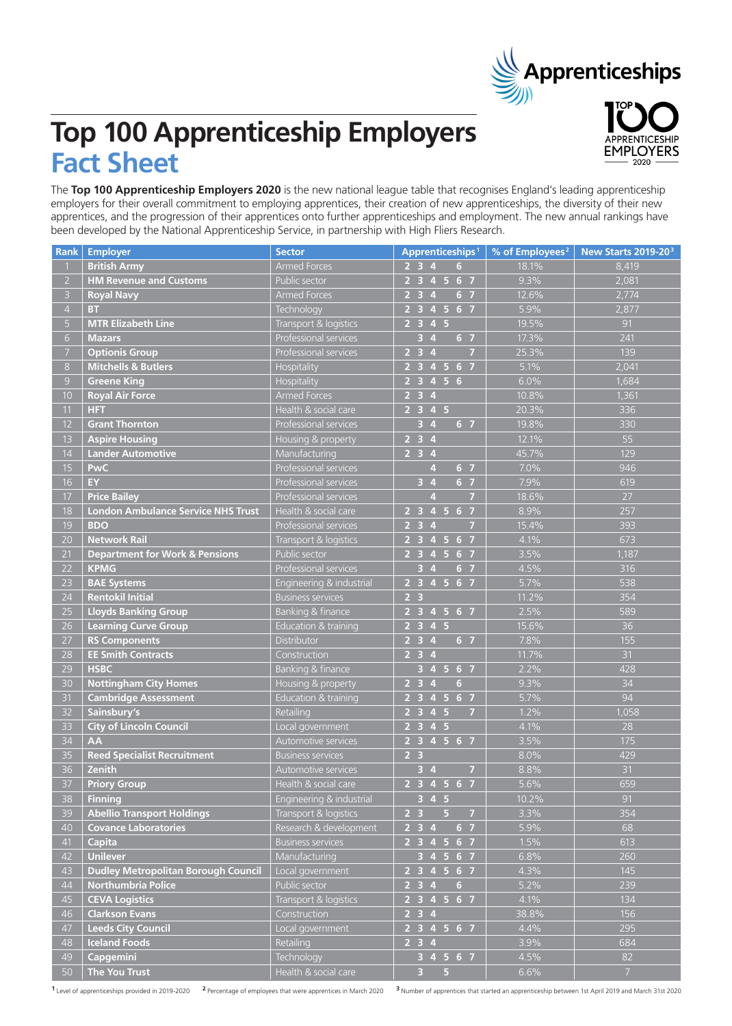# **Apprenticeships**

**EMPLOYERS** 

# **Top 100 Apprenticeship Employers Fact Sheet**

The **Top 100 Apprenticeship Employers 2020** is the new national league table that recognises England's leading apprenticeship employers for their overall commitment to employing apprentices, their creation of new apprenticeships, the diversity of their new apprentices, and the progression of their apprentices onto further apprenticeships and employment. The new annual rankings have been developed by the National Apprenticeship Service, in partnership with High Fliers Research.

| <b>Rank</b>      | <b>Employer</b>                            | <b>Sector</b>              | Apprenticeships <sup>1</sup>                                                  | % of Employees <sup>2</sup> | New Starts 2019-203 |
|------------------|--------------------------------------------|----------------------------|-------------------------------------------------------------------------------|-----------------------------|---------------------|
|                  | <b>British Army</b>                        | <b>Armed Forces</b>        | $\overline{4}$<br>2 <sub>3</sub><br>$6\phantom{.}6$                           | 18.1%                       | 8,419               |
| $\overline{2}$   | <b>HM Revenue and Customs</b>              | Public sector              | 2 <sub>3</sub><br>4 <sub>5</sub><br>6 <sub>7</sub>                            | 9.3%                        | 2,081               |
| $\overline{3}$   | <b>Royal Navy</b>                          | <b>Armed Forces</b>        | 2 <sub>3</sub><br>6 <sub>7</sub><br>$\overline{4}$                            | 12.6%                       | 2,774               |
| $\overline{4}$   | <b>BT</b>                                  | Technology                 | 4567<br>2 <sub>3</sub>                                                        | 5.9%                        | 2,877               |
| $\overline{5}$   | <b>MTR Elizabeth Line</b>                  | Transport & logistics      | 2 <sub>3</sub><br>4 5                                                         | 19.5%                       | 91                  |
| $6 \overline{6}$ | <b>Mazars</b>                              | Professional services      | 6 <sub>7</sub><br>3<br>$\overline{4}$                                         | 17.3%                       | 241                 |
| $\overline{7}$   | <b>Optionis Group</b>                      | Professional services      | $\overline{2}$<br>$\overline{\mathbf{3}}$<br>$\overline{7}$<br>$\overline{4}$ | 25.3%                       | 139                 |
| $8\phantom{.}$   | <b>Mitchells &amp; Butlers</b>             | Hospitality                | 567<br>2 <sub>3</sub><br>$\overline{4}$                                       | 5.1%                        | 2,041               |
| $\overline{9}$   | <b>Greene King</b>                         | Hospitality                | 4 5 6<br>2 <sub>3</sub>                                                       | 6.0%                        | 1,684               |
| 10               | <b>Royal Air Force</b>                     | <b>Armed Forces</b>        | 2 <sub>3</sub><br>$\overline{4}$                                              | 10.8%                       | 1,361               |
| 11               | <b>HFT</b>                                 | Health & social care       | 2 <sub>3</sub><br>4 <sub>5</sub>                                              | 20.3%                       | 336                 |
| 12               | <b>Grant Thornton</b>                      | Professional services      | 6 <sub>7</sub><br>3<br>$\overline{4}$                                         | 19.8%                       | 330                 |
| 13               | <b>Aspire Housing</b>                      | Housing & property         | 2 <sub>3</sub><br>$\overline{4}$                                              | 12.1%                       | 55                  |
| 14               | <b>Lander Automotive</b>                   | Manufacturing              | 2 <sub>3</sub><br>$\overline{4}$                                              | 45.7%                       | 129                 |
| 15               | <b>PwC</b>                                 | Professional services      | 6 <sub>7</sub><br>4                                                           | 7.0%                        | 946                 |
| 16               | EY.                                        | Professional services      | $\overline{4}$<br>6 <sub>7</sub><br>3                                         | 7.9%                        | 619                 |
| 17               | <b>Price Bailey</b>                        | Professional services      | 4<br>$\overline{7}$                                                           | 18.6%                       | 27                  |
| 18               | <b>London Ambulance Service NHS Trust</b>  | Health & social care       | $2^{2}$<br>4 5 6 7                                                            | 8.9%                        | 257                 |
| 19               | <b>BDO</b>                                 | Professional services      | 2 <sub>3</sub><br>$\overline{4}$<br>$\overline{7}$                            | 15.4%                       | 393                 |
| 20               | <b>Network Rail</b>                        | Transport & logistics      | $2^{2}$<br>4 <sub>5</sub><br>6 <sub>7</sub>                                   | 4.1%                        | 673                 |
| 21               | <b>Department for Work &amp; Pensions</b>  | Public sector              | $2^{2}$<br>4 <sub>5</sub><br>6 <sub>7</sub>                                   | 3.5%                        | 1,187               |
| 22               | <b>KPMG</b>                                | Professional services      | 6 <sub>7</sub><br>3 <sub>4</sub>                                              | 4.5%                        | 316                 |
| 23               | <b>BAE Systems</b>                         | Engineering & industrial   | 2 3 4 5 6 7                                                                   | 5.7%                        | 538                 |
| 24               | <b>Rentokil Initial</b>                    | <b>Business services</b>   | 2 <sub>3</sub>                                                                | 11.2%                       | 354                 |
| 25               | <b>Lloyds Banking Group</b>                | Banking & finance          | 2 3 4 5 6 7                                                                   | 2.5%                        | 589                 |
| 26               | <b>Learning Curve Group</b>                | Education & training       | $2$ 3 4 5                                                                     | 15.6%                       | 36                  |
| 27               | <b>RS Components</b>                       | Distributor                | $\begin{array}{ccc} 2 & 3 & 4 \end{array}$<br>6 <sub>7</sub>                  | 7.8%                        | 155                 |
| 28               | <b>EE Smith Contracts</b>                  | Construction               | $2 \quad 3 \quad 4$                                                           | 11.7%                       | 31                  |
| 29               | <b>HSBC</b>                                | Banking & finance          | 3 4 5 6 7                                                                     | 2.2%                        | 428                 |
| 30               | <b>Nottingham City Homes</b>               | Housing & property         | $2 \quad 3 \quad 4$<br>$6\phantom{a}$                                         | 9.3%                        | 34                  |
| 31               | <b>Cambridge Assessment</b>                | Education & training       | 2 3 4 5 6 7                                                                   | 5.7%                        | 94                  |
| 32               | Sainsbury's                                | Retailing                  | $2345$<br>$\overline{7}$                                                      | 1.2%                        | 1,058               |
| 33               | <b>City of Lincoln Council</b>             | Local government           | 2345                                                                          | 4.1%                        | 28                  |
| 34               | <b>AA</b>                                  | Automotive services        | $\overline{)2}$ 3 4 5 6 7                                                     | 3.5%                        | 175                 |
| 35               | <b>Reed Specialist Recruitment</b>         | <b>Business services</b>   | 2 <sub>3</sub>                                                                | 8.0%                        | 429                 |
| 36               | Zenith                                     | <b>Automotive services</b> | 3 <sub>4</sub><br>$\overline{7}$                                              | 8.8%                        | 31                  |
| 37               | <b>Priory Group</b>                        | Health & social care       | 2 3 4 5 6 7                                                                   | 5.6%                        | 659                 |
| 38               | <b>Finning</b>                             | Engineering & industrial   | $3 \quad 4 \quad 5$                                                           | 10.2%                       | 91                  |
| 39               | <b>Abellio Transport Holdings</b>          | Transport & logistics      | 2 <sub>3</sub><br>$\sqrt{5}$<br>$\overline{7}$                                | 3.3%                        | 354                 |
| 40               | <b>Covance Laboratories</b>                | Research & development     | $2 \quad 3 \quad 4$<br>6 <sub>7</sub>                                         | 5.9%                        | 68                  |
| 41               | <b>Capita</b>                              | <b>Business services</b>   | 2 3 4 5 6 7                                                                   | 1.5%                        | 613                 |
| 42               | <b>Unilever</b>                            | Manufacturing              | 3 4 5 6 7                                                                     | 6.8%                        | 260                 |
| 43               | <b>Dudley Metropolitan Borough Council</b> | Local government           | 2 3 4 5 6 7                                                                   | 4.3%                        | 145                 |
| 44               | Northumbria Police                         | Public sector              | $2 \quad 3 \quad 4$<br>$6\phantom{.}6$                                        | 5.2%                        | 239                 |
| 45               | <b>CEVA Logistics</b>                      | Transport & logistics      | 2 3 4 5 6 7                                                                   | 4.1%                        | 134                 |
| 46               | <b>Clarkson Evans</b>                      | Construction               | $2 \quad 3 \quad 4$                                                           | 38.8%                       | 156                 |
| 47               | <b>Leeds City Council</b>                  | Local government           | 2 3 4 5 6 7                                                                   | 4.4%                        | 295                 |
| 48               | <b>Iceland Foods</b>                       | Retailing                  | $2 \quad 3 \quad 4$                                                           | 3.9%                        | 684                 |
| 49               | <b>Capgemini</b>                           | <b>Technology</b>          | 3 4 5 6 7                                                                     | 4.5%                        | 82                  |
| 50               | The You Trust                              | Health & social care       | $\overline{3}$<br>5                                                           | 6.6%                        | $\overline{7}$      |

<sup>1</sup> Level of apprenticeships provided in 2019-2020 <sup>2</sup> Percentage of employees that were apprentices in March 2020 <sup>3</sup> Number of apprentices that started an apprenticeship between 1st April 2019 and March 31st 2020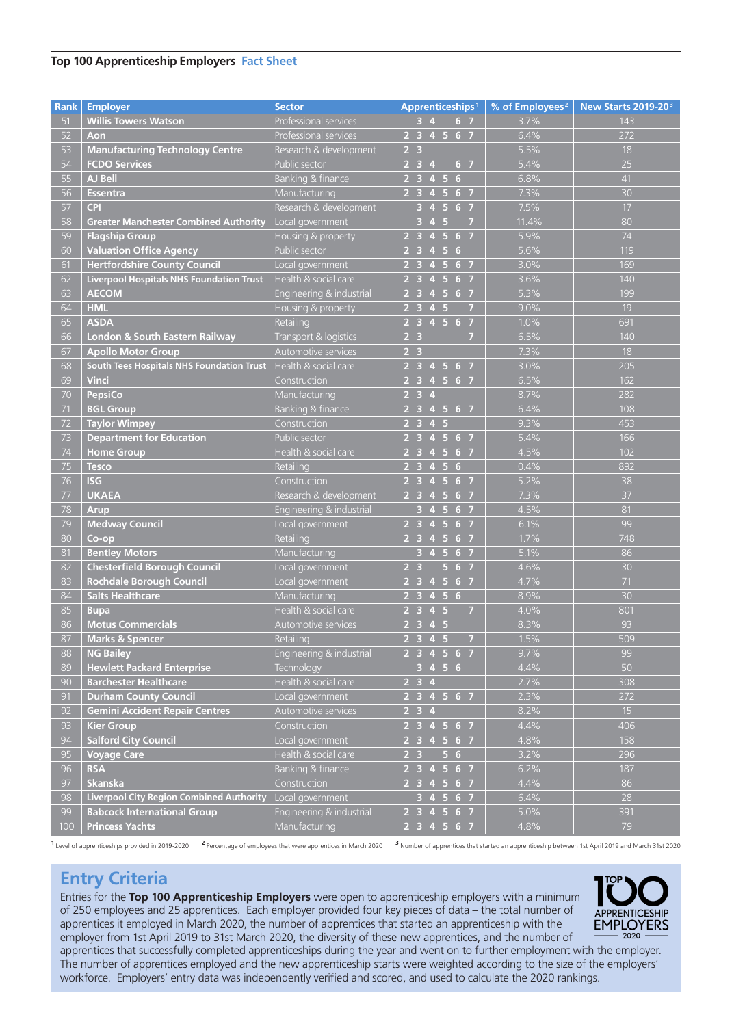#### **Top 100 Apprenticeship Employers Fact Sheet**

| <b>Rank</b> | <b>Employer</b>                                  | <b>Sector</b>            | Apprenticeships <sup>1</sup>                                                                    | % of Employees <sup>2</sup> | New Starts 2019-20 <sup>3</sup> |
|-------------|--------------------------------------------------|--------------------------|-------------------------------------------------------------------------------------------------|-----------------------------|---------------------------------|
| 51          | <b>Willis Towers Watson</b>                      | Professional services    | 6 <sub>7</sub><br>$3\quad 4$                                                                    | 3.7%                        | 143                             |
| 52          | Aon                                              | Professional services    | 2 3 4 5 6 7                                                                                     | 6.4%                        | 272                             |
| 53          | <b>Manufacturing Technology Centre</b>           | Research & development   | 2 <sub>3</sub>                                                                                  | 5.5%                        | 18                              |
| 54          | <b>FCDO Services</b>                             | Public sector            | $2 \t3 \t4$<br>6 <sub>7</sub>                                                                   | 5.4%                        | 25                              |
| 55          | <b>AJ Bell</b>                                   | Banking & finance        | 2 3 4 5 6                                                                                       | 6.8%                        | 41                              |
| 56          | <b>Essentra</b>                                  | Manufacturing            | 2 3 4 5 6 7                                                                                     | 7.3%                        | 30                              |
| 57          | <b>CPI</b>                                       | Research & development   | $3$ 4 5 6 7                                                                                     | 7.5%                        | 17                              |
| 58          | <b>Greater Manchester Combined Authority</b>     | Local government         | $\overline{3}$<br>4 <sub>5</sub><br>$\overline{7}$                                              | 11.4%                       | 80                              |
| 59          | <b>Flagship Group</b>                            | Housing & property       | 2 3 4 5 6 7                                                                                     | 5.9%                        | 74                              |
| 60          | <b>Valuation Office Agency</b>                   | Public sector            | 2 3 4 5 6                                                                                       | 5.6%                        | 119                             |
| 61          | <b>Hertfordshire County Council</b>              | Local government         | 2 3 4 5 6 7                                                                                     | 3.0%                        | 169                             |
| 62          | <b>Liverpool Hospitals NHS Foundation Trust</b>  | Health & social care     | 2 3 4 5 6 7                                                                                     | 3.6%                        | 140                             |
| 63          | <b>AECOM</b>                                     | Engineering & industrial | 2 3 4 5 6 7                                                                                     | 5.3%                        | 199                             |
| 64          | <b>HML</b>                                       | Housing & property       | 2345<br>$\overline{7}$                                                                          | 9.0%                        | 19                              |
| 65          | <b>ASDA</b>                                      | Retailing                | 2 3 4 5 6 7                                                                                     | 1.0%                        | 691                             |
| 66          | <b>London &amp; South Eastern Railway</b>        | Transport & logistics    | 2 <sub>3</sub><br>$\overline{7}$                                                                | 6.5%                        | 140                             |
| 67          | <b>Apollo Motor Group</b>                        | Automotive services      | 2 <sub>3</sub>                                                                                  | 7.3%                        | 18                              |
| 68          | <b>South Tees Hospitals NHS Foundation Trust</b> | Health & social care     | 2 3 4 5 6 7                                                                                     | 3.0%                        | 205                             |
| 69          | <b>Vinci</b>                                     | Construction             | 2 3 4 5 6 7                                                                                     | 6.5%                        | 162                             |
| 70          | <b>PepsiCo</b>                                   | Manufacturing            | $2 \t3 \t4$                                                                                     | 8.7%                        | 282                             |
| 71          | <b>BGL Group</b>                                 | Banking & finance        | 2 3 4 5 6 7                                                                                     | 6.4%                        | 108                             |
| 72          | <b>Taylor Wimpey</b>                             | Construction             | 2 3 4 5                                                                                         | 9.3%                        | 453                             |
| 73          | <b>Department for Education</b>                  | Public sector            | 2 3 4 5 6 7                                                                                     | 5.4%                        | 166                             |
| 74          | <b>Home Group</b>                                | Health & social care     | 2 <sub>3</sub><br>5 <sub>5</sub><br>6 <sub>7</sub><br>$\overline{4}$                            | 4.5%                        | 102                             |
| 75          | <b>Tesco</b>                                     | Retailing                | 234<br>$-5$<br>6                                                                                | 0.4%                        | 892                             |
| 76          | <b>ISG</b>                                       | Construction             | 2 <sub>3</sub><br>5 <sub>5</sub><br>6 7<br>$\overline{4}$                                       | 5.2%                        | 38                              |
| 77          | <b>UKAEA</b>                                     | Research & development   | 2 <sub>3</sub><br>$\overline{5}$<br>6 7<br>$\overline{4}$                                       | 7.3%                        | 37                              |
| 78          | <b>Arup</b>                                      | Engineering & industrial | $\sqrt{5}$<br>6 <sub>7</sub><br>3<br>$\overline{4}$                                             | 4.5%                        | 81                              |
| 79          | <b>Medway Council</b>                            | Local government         | $\overline{5}$<br>$\overline{2}$ $\overline{3}$<br>6 7<br>$\overline{4}$                        | 6.1%                        | 99                              |
| 80          | Co-op                                            | Retailing                | $\overline{5}$<br>2 <sub>3</sub><br>6 7<br>$\overline{4}$                                       | 1.7%                        | 748                             |
| 81          | <b>Bentley Motors</b>                            | Manufacturing            | $\overline{5}$<br>6 <sub>7</sub><br>$\overline{3}$<br>$\overline{4}$                            | 5.1%                        | 86                              |
| 82          | <b>Chesterfield Borough Council</b>              | Local government         | $\overline{5}$<br>$\overline{2}$ 3<br>6 <sub>7</sub>                                            | 4.6%                        | 30                              |
| 83          | <b>Rochdale Borough Council</b>                  | Local government         | $\overline{5}$<br>6 <sub>7</sub><br>$\overline{\mathbf{3}}$<br>2 <sup>1</sup><br>$\overline{4}$ | 4.7%                        | 71                              |
| 84          | <b>Salts Healthcare</b>                          | Manufacturing            | $\sqrt{5}$<br>$\overline{\mathbf{3}}$<br>6<br>2 <sup>1</sup><br>$\overline{4}$                  | 8.9%                        | 30                              |
| 85          | <b>Bupa</b>                                      | Health & social care     | $\overline{5}$<br>2 <sup>1</sup><br>$\overline{7}$<br>$\overline{\mathbf{3}}$<br>$\overline{4}$ | 4.0%                        | 801                             |
| 86          | <b>Motus Commercials</b>                         | Automotive services      | $2$ 3 4 5                                                                                       | 8.3%                        | 93                              |
| 87          | <b>Marks &amp; Spencer</b>                       | Retailing                | 2345<br>$\overline{7}$                                                                          | 1.5%                        | 509                             |
| 88          | <b>NG Bailey</b>                                 | Engineering & industrial | 2 3 4 5 6 7                                                                                     | 9.7%                        | 99                              |
| 89          | <b>Hewlett Packard Enterprise</b>                | Technology               | 3 4 5 6                                                                                         | 4.4%                        | 50                              |
| 90          | <b>Barchester Healthcare</b>                     | Health & social care     | 234                                                                                             | 2.7%                        | 308                             |
| 91          | <b>Durham County Council</b>                     | Local government         | 2 3 4 5 6 7                                                                                     | 2.3%                        | 272                             |
| 92          | <b>Gemini Accident Repair Centres</b>            | Automotive services      | $\overline{2}$ 3 4                                                                              | 8.2%                        | 15                              |
| 93          | <b>Kier Group</b>                                | Construction             | $2$ 3 4 5 6 7                                                                                   | 4.4%                        | 406                             |
| 94          | <b>Salford City Council</b>                      | Local government         | 2 3 4 5 6 7                                                                                     | 4.8%                        | 158                             |
| 95          | <b>Voyage Care</b>                               | Health & social care     | 2 <sub>3</sub><br>56                                                                            | 3.2%                        | 296                             |
| 96          | <b>RSA</b>                                       | Banking & finance        | 2 3 4 5 6 7                                                                                     | 6.2%                        | 187                             |
| 97          | <b>Skanska</b>                                   | Construction             | 2 3 4 5 6 7                                                                                     | 4.4%                        | 86                              |
| 98          | <b>Liverpool City Region Combined Authority</b>  | Local government         | 3 4 5 6 7                                                                                       | 6.4%                        | 28                              |
| 99          | <b>Babcock International Group</b>               | Engineering & industrial | 2 3 4 5 6 7                                                                                     | 5.0%                        | 391                             |
| 100         | <b>Princess Yachts</b>                           | Manufacturing            | 2 3 4 5 6 7                                                                                     | 4.8%                        | 79                              |

1 Level of apprenticeships provided in 2019-2020 <sup>2</sup> Percentage of employees that were apprentices in March 2020 <sup>3</sup> Number of apprentices that started an apprenticeship between 1st April 2019 and March 31st 2020

# **Entry Criteria**

Entries for the **Top 100 Apprenticeship Employers** were open to apprenticeship employers with a minimum of 250 employees and 25 apprentices. Each employer provided four key pieces of data – the total number of apprentices it employed in March 2020, the number of apprentices that started an apprenticeship with the employer from 1st April 2019 to 31st March 2020, the diversity of these new apprentices, and the number of



apprentices that successfully completed apprenticeships during the year and went on to further employment with the employer. The number of apprentices employed and the new apprenticeship starts were weighted according to the size of the employers' workforce. Employers' entry data was independently verified and scored, and used to calculate the 2020 rankings.